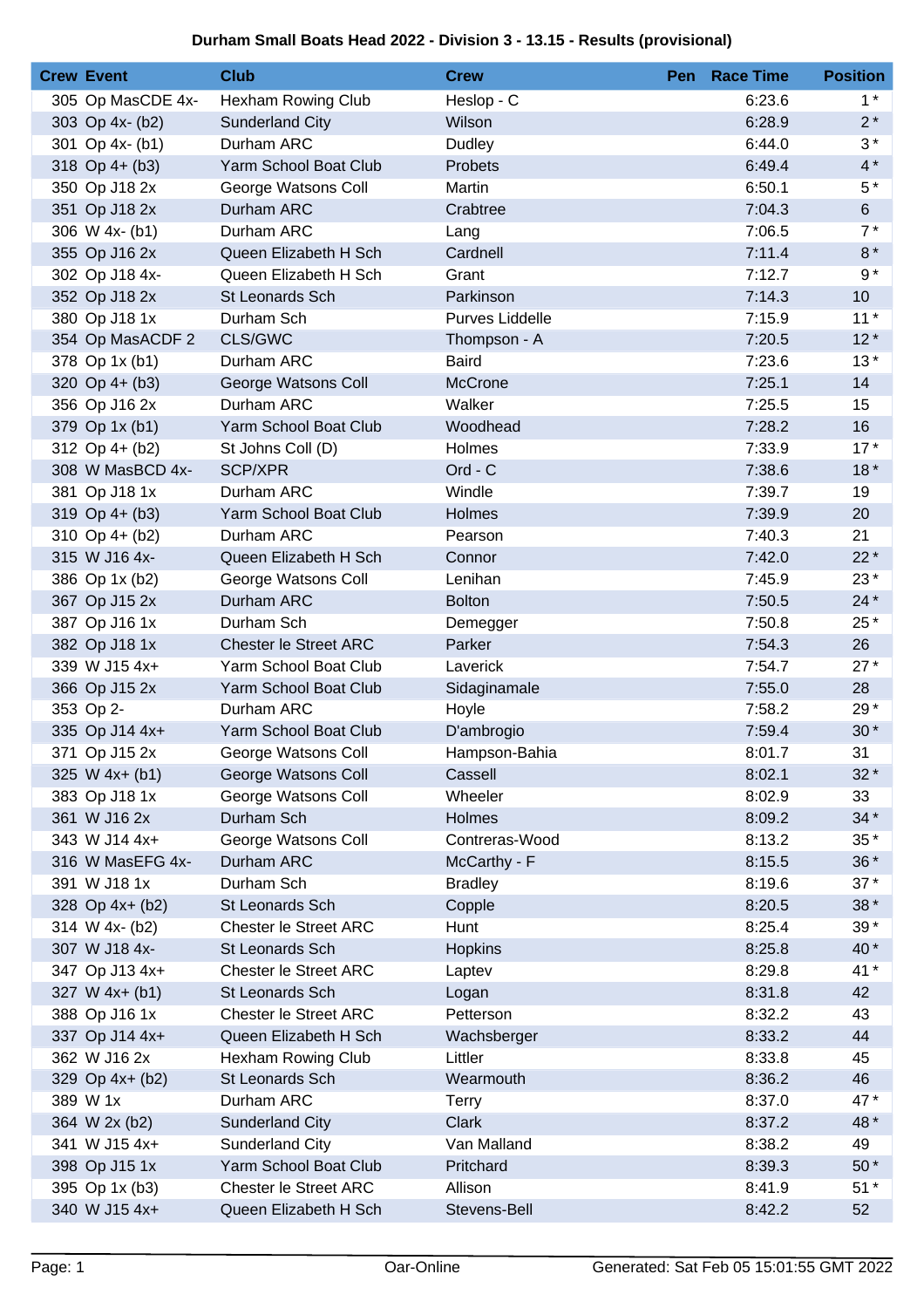## **Durham Small Boats Head 2022 - Division 3 - 13.15 - Results (provisional)**

| <b>Crew Event</b> | <b>Club</b>                  | <b>Crew</b>            | Pen Race Time | <b>Position</b> |
|-------------------|------------------------------|------------------------|---------------|-----------------|
| 305 Op MasCDE 4x- | <b>Hexham Rowing Club</b>    | Heslop - C             | 6:23.6        | $1^*$           |
| 303 Op 4x- (b2)   | <b>Sunderland City</b>       | Wilson                 | 6:28.9        | $2^*$           |
| 301 Op 4x- (b1)   | Durham ARC                   | Dudley                 | 6:44.0        | $3*$            |
| 318 Op $4+ (b3)$  | Yarm School Boat Club        | Probets                | 6:49.4        | $4*$            |
| 350 Op J18 2x     | George Watsons Coll          | Martin                 | 6:50.1        | $5*$            |
| 351 Op J18 2x     | Durham ARC                   | Crabtree               | 7:04.3        | 6               |
| 306 W 4x- (b1)    | Durham ARC                   | Lang                   | 7:06.5        | $7*$            |
| 355 Op J16 2x     | Queen Elizabeth H Sch        | Cardnell               | 7:11.4        | $8*$            |
| 302 Op J18 4x-    | Queen Elizabeth H Sch        | Grant                  | 7:12.7        | $9 *$           |
| 352 Op J18 2x     | St Leonards Sch              | Parkinson              | 7:14.3        | 10 <sup>1</sup> |
| 380 Op J18 1x     | Durham Sch                   | Purves Liddelle        | 7:15.9        | $11*$           |
| 354 Op MasACDF 2  | CLS/GWC                      | Thompson - A           | 7:20.5        | $12*$           |
| 378 Op 1x (b1)    | Durham ARC                   | <b>Baird</b>           | 7:23.6        | $13*$           |
| 320 Op 4+ (b3)    | George Watsons Coll          | McCrone                | 7:25.1        | 14              |
| 356 Op J16 2x     | Durham ARC                   | Walker                 | 7:25.5        | 15              |
| 379 Op 1x (b1)    | Yarm School Boat Club        | Woodhead               | 7:28.2        | 16              |
| 312 Op 4+ (b2)    | St Johns Coll (D)            | Holmes                 | 7:33.9        | $17*$           |
| 308 W MasBCD 4x-  | SCP/XPR                      | Ord - C                | 7:38.6        | $18*$           |
| 381 Op J18 1x     | Durham ARC                   | Windle                 | 7:39.7        | 19              |
| $319$ Op 4+ (b3)  | Yarm School Boat Club        | <b>Holmes</b>          | 7:39.9        | 20              |
| 310 Op $4+$ (b2)  | Durham ARC                   | Pearson                | 7:40.3        | 21              |
| 315 W J16 4x-     | Queen Elizabeth H Sch        | Connor                 | 7:42.0        | $22*$           |
| 386 Op 1x (b2)    | George Watsons Coll          | Lenihan                | 7:45.9        | 23*             |
| 367 Op J15 2x     | Durham ARC                   | <b>Bolton</b>          | 7:50.5        | $24*$           |
| 387 Op J16 1x     | Durham Sch                   | Demegger               | 7:50.8        | 25 *            |
| 382 Op J18 1x     | <b>Chester le Street ARC</b> | Parker                 | 7:54.3        | 26              |
| 339 W J15 4x+     | Yarm School Boat Club        | Laverick               | 7:54.7        | $27*$           |
| 366 Op J15 2x     | Yarm School Boat Club        | Sidaginamale           | 7:55.0        | 28              |
| 353 Op 2-         | Durham ARC                   | Hoyle                  | 7:58.2        | 29*             |
| 335 Op J14 4x+    | Yarm School Boat Club        | D'ambrogio             | 7:59.4        | $30*$           |
| 371 Op J15 2x     | George Watsons Coll          | Hampson-Bahia          | 8:01.7        | 31              |
| $325 W 4x + (b1)$ | George Watsons Coll          | Cassell                | 8:02.1        | $32*$           |
| 383 Op J18 1x     | George Watsons Coll          | Wheeler                | 8:02.9        | 33              |
| 361 W J16 2x      | Durham Sch                   | Holmes                 | 8:09.2        | $34*$           |
| 343 W J14 4x+     | George Watsons Coll          | Contreras-Wood         | 8:13.2        | $35*$           |
| 316 W MasEFG 4x-  | Durham ARC                   | McCarthy - F           | 8:15.5        | $36*$           |
| 391 W J18 1x      | Durham Sch                   | <b>Bradley</b>         | 8:19.6        | $37*$           |
| 328 Op 4x+ (b2)   | St Leonards Sch              |                        | 8:20.5        | $38*$           |
| 314 W 4x- (b2)    | Chester le Street ARC        | Copple<br>Hunt         | 8:25.4        | $39*$           |
| 307 W J18 4x-     | St Leonards Sch              |                        | 8:25.8        | 40 *            |
| 347 Op J13 4x+    | <b>Chester le Street ARC</b> | <b>Hopkins</b>         | 8:29.8        | 41 *            |
| 327 W 4x+ (b1)    | St Leonards Sch              | Laptev                 | 8:31.8        | 42              |
| 388 Op J16 1x     | <b>Chester le Street ARC</b> | Logan<br>Petterson     | 8:32.2        | 43              |
| 337 Op J14 4x+    | Queen Elizabeth H Sch        |                        | 8:33.2        | 44              |
| 362 W J16 2x      |                              | Wachsberger<br>Littler |               | 45              |
|                   | Hexham Rowing Club           |                        | 8:33.8        |                 |
| 329 Op 4x+ (b2)   | St Leonards Sch              | Wearmouth              | 8:36.2        | 46              |
| 389 W 1x          | Durham ARC                   | <b>Terry</b>           | 8:37.0        | 47*             |
| 364 W 2x (b2)     | Sunderland City              | Clark                  | 8:37.2        | 48 *            |
| 341 W J15 4x+     | <b>Sunderland City</b>       | Van Malland            | 8:38.2        | 49              |
| 398 Op J15 1x     | Yarm School Boat Club        | Pritchard              | 8:39.3        | $50*$           |
| 395 Op 1x (b3)    | <b>Chester le Street ARC</b> | Allison                | 8:41.9        | $51*$           |
| 340 W J15 4x+     | Queen Elizabeth H Sch        | Stevens-Bell           | 8:42.2        | 52              |